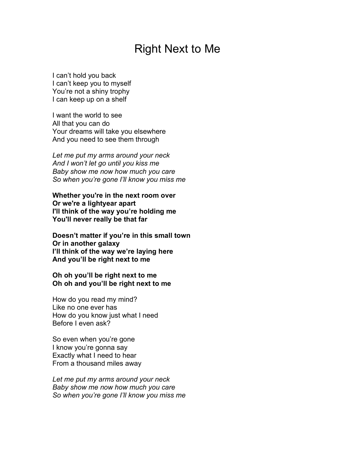## Right Next to Me

I can't hold you back I can't keep you to myself You're not a shiny trophy I can keep up on a shelf

I want the world to see All that you can do Your dreams will take you elsewhere And you need to see them through

*Let me put my arms around your neck And I won't let go until you kiss me Baby show me now how much you care So when you're gone I'll know you miss me*

**Whether you're in the next room over Or we're a lightyear apart I'll think of the way you're holding me You'll never really be that far** 

**Doesn't matter if you're in this small town Or in another galaxy I'll think of the way we're laying here And you'll be right next to me**

**Oh oh you'll be right next to me Oh oh and you'll be right next to me**

How do you read my mind? Like no one ever has How do you know just what I need Before I even ask?

So even when you're gone I know you're gonna say Exactly what I need to hear From a thousand miles away

*Let me put my arms around your neck Baby show me now how much you care So when you're gone I'll know you miss me*